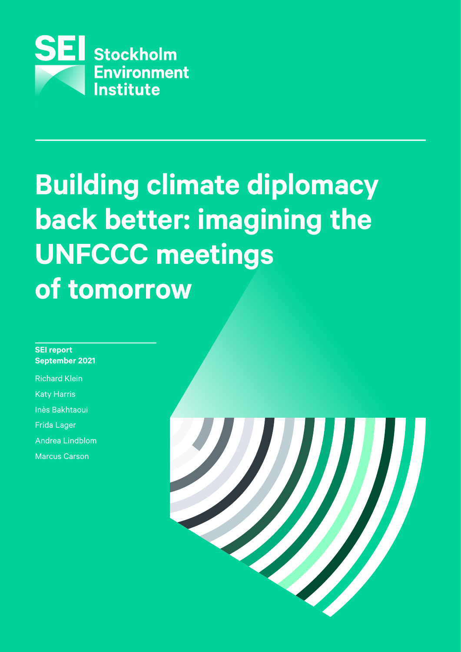

# **Building climate diplomacy back better: imagining the UNFCCC meetings of tomorrow Technical review processes 65% Thematic workshops & expert meetings 75% Bureau<br>Informal consultation**<br>Informal consultations for the set of the set of the set of the set of the set of the set of the set of the set o<br>Internal consultations for the set of the set of the set of the set of the se **Meeting**<br>The Society<br>Transformal<br>Society<br>Activities 1 **Networking 2016<br>
<b>Conting 2016**<br> **Observent**<br>
Observation<br>
Observation & report<br>
Observation & report<br>
Observent & report<br>
Observation & report<br>
Observent & report<br>
Observation & report<br>
Observent & report<br>
Observent & re **randifing different image:**<br> **Coording**<br> **Coording**<br> **Coording**<br> **Coording**<br>
<u>Coording</u><br>
<u>Coording</u><br>
Coording<br>
Coording<br>
Coording<br>
Coording<br>
Coording<br>
Coording<br>
Coording<br>
Coording<br>
Coording<br>
Coording<br>
Coording<br>
Coording<br>

# **SEI report September 2021**

Richard Klein Katy Harris

Inès Bakhtaoui

Frida Lager

Andrea Lindblom

Marcus Carson

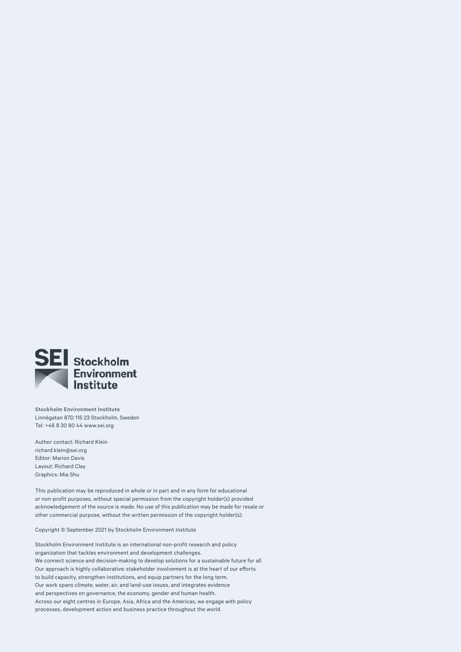

**Stockholm Environment Institute**  Linnégatan 87D 115 23 Stockholm, Sweden Tel: +46 8 30 80 44 [www.sei.org](http://www.sei.org)

Author contact: Richard Klein [richard.klein@sei.org](mailto:richard.klein%40sei.org?subject=) Editor: Marion Davis Layout: Richard Clay Graphics: Mia Shu

This publication may be reproduced in whole or in part and in any form for educational or non-profit purposes, without special permission from the copyright holder(s) provided acknowledgement of the source is made. No use of this publication may be made for resale or other commercial purpose, without the written permission of the copyright holder(s).

Copyright © September 2021 by Stockholm Environment Institute

Stockholm Environment Institute is an international non-profit research and policy organization that tackles environment and development challenges. We connect science and decision-making to develop solutions for a sustainable future for all. Our approach is highly collaborative: stakeholder involvement is at the heart of our efforts to build capacity, strengthen institutions, and equip partners for the long term. Our work spans climate, water, air, and land-use issues, and integrates evidence and perspectives on governance, the economy, gender and human health. Across our eight centres in Europe, Asia, Africa and the Americas, we engage with policy processes, development action and business practice throughout the world.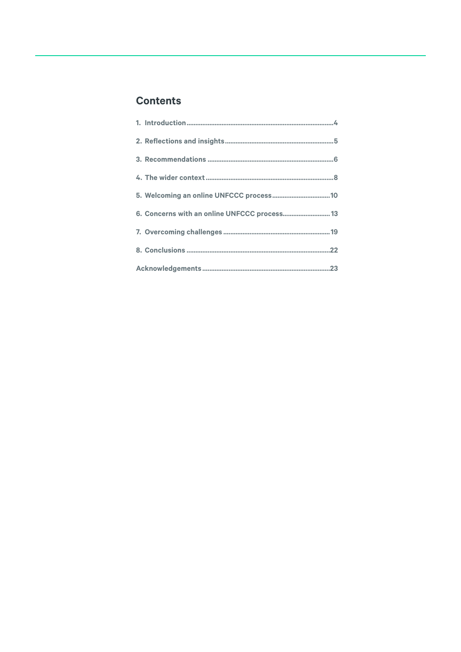# **Contents**

| 6. Concerns with an online UNFCCC process 13 |
|----------------------------------------------|
|                                              |
|                                              |
|                                              |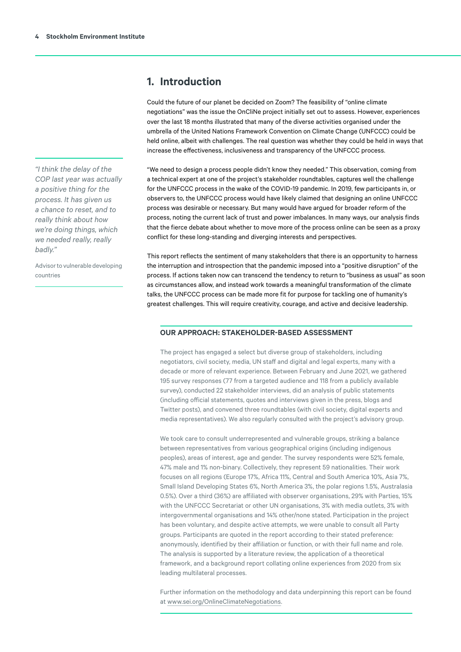# <span id="page-3-0"></span>**1. Introduction**

Could the future of our planet be decided on Zoom? The feasibility of "online climate negotiations" was the issue the OnCliNe project initially set out to assess. However, experiences over the last 18 months illustrated that many of the diverse activities organised under the umbrella of the United Nations Framework Convention on Climate Change (UNFCCC) could be held online, albeit with challenges. The real question was whether they could be held in ways that increase the effectiveness, inclusiveness and transparency of the UNFCCC process.

"We need to design a process people didn't know they needed." This observation, coming from a technical expert at one of the project's stakeholder roundtables, captures well the challenge for the UNFCCC process in the wake of the COVID-19 pandemic. In 2019, few participants in, or observers to, the UNFCCC process would have likely claimed that designing an online UNFCCC process was desirable or necessary. But many would have argued for broader reform of the process, noting the current lack of trust and power imbalances. In many ways, our analysis finds that the fierce debate about whether to move more of the process online can be seen as a proxy conflict for these long-standing and diverging interests and perspectives.

This report reflects the sentiment of many stakeholders that there is an opportunity to harness the interruption and introspection that the pandemic imposed into a "positive disruption" of the process. If actions taken now can transcend the tendency to return to "business as usual" as soon as circumstances allow, and instead work towards a meaningful transformation of the climate talks, the UNFCCC process can be made more fit for purpose for tackling one of humanity's greatest challenges. This will require creativity, courage, and active and decisive leadership.

#### **OUR APPROACH: STAKEHOLDER-BASED ASSESSMENT**

The project has engaged a select but diverse group of stakeholders, including negotiators, civil society, media, UN staff and digital and legal experts, many with a decade or more of relevant experience. Between February and June 2021, we gathered 195 survey responses (77 from a targeted audience and 118 from a publicly available survey), conducted 22 stakeholder interviews, did an analysis of public statements (including official statements, quotes and interviews given in the press, blogs and Twitter posts), and convened three roundtables (with civil society, digital experts and media representatives). We also regularly consulted with the project's advisory group.

We took care to consult underrepresented and vulnerable groups, striking a balance between representatives from various geographical origins (including indigenous peoples), areas of interest, age and gender. The survey respondents were 52% female, 47% male and 1% non-binary. Collectively, they represent 59 nationalities. Their work focuses on all regions (Europe 17%, Africa 11%, Central and South America 10%, Asia 7%, Small Island Developing States 6%, North America 3%, the polar regions 1.5%, Australasia 0.5%). Over a third (36%) are affiliated with observer organisations, 29% with Parties, 15% with the UNFCCC Secretariat or other UN organisations, 3% with media outlets, 3% with intergovernmental organisations and 14% other/none stated. Participation in the project has been voluntary, and despite active attempts, we were unable to consult all Party groups. Participants are quoted in the report according to their stated preference: anonymously, identified by their affiliation or function, or with their full name and role. The analysis is supported by a literature review, the application of a theoretical framework, and a background report collating online experiences from 2020 from six leading multilateral processes.

Further information on the methodology and data underpinning this report can be found at [www.sei.org/OnlineClimateNegotiations.](http://www.sei.org/OnlineClimateNegotiations)

*"I think the delay of the COP last year was actually a positive thing for the process. It has given us a chance to reset, and to really think about how we're doing things, which we needed really, really badly."* 

Advisor to vulnerable developing countries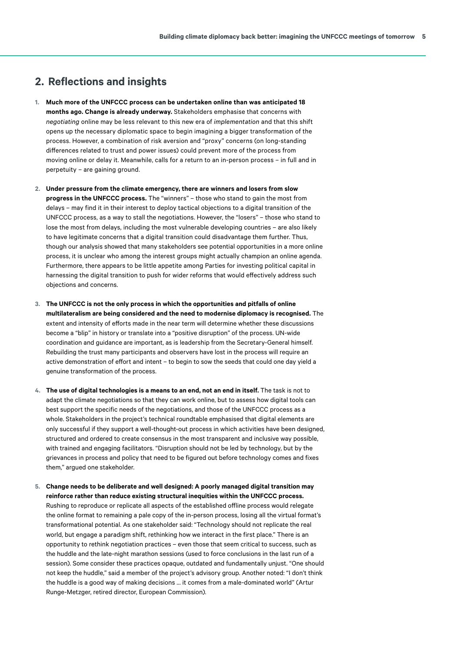# <span id="page-4-0"></span>**2. Reflections and insights**

- **1. Much more of the UNFCCC process can be undertaken online than was anticipated 18 months ago. Change is already underway.** Stakeholders emphasise that concerns with *negotiating* online may be less relevant to this new era of *implementation* and that this shift opens up the necessary diplomatic space to begin imagining a bigger transformation of the process. However, a combination of risk aversion and "proxy" concerns (on long-standing differences related to trust and power issues) could prevent more of the process from moving online or delay it. Meanwhile, calls for a return to an in-person process – in full and in perpetuity – are gaining ground.
- **2. Under pressure from the climate emergency, there are winners and losers from slow progress in the UNFCCC process.** The "winners" – those who stand to gain the most from delays – may find it in their interest to deploy tactical objections to a digital transition of the UNFCCC process, as a way to stall the negotiations. However, the "losers" – those who stand to lose the most from delays, including the most vulnerable developing countries – are also likely to have legitimate concerns that a digital transition could disadvantage them further. Thus, though our analysis showed that many stakeholders see potential opportunities in a more online process, it is unclear who among the interest groups might actually champion an online agenda. Furthermore, there appears to be little appetite among Parties for investing political capital in harnessing the digital transition to push for wider reforms that would effectively address such objections and concerns.
- **3. The UNFCCC is not the only process in which the opportunities and pitfalls of online multilateralism are being considered and the need to modernise diplomacy is recognised.** The extent and intensity of efforts made in the near term will determine whether these discussions become a "blip" in history or translate into a "positive disruption" of the process. UN-wide coordination and guidance are important, as is leadership from the Secretary-General himself. Rebuilding the trust many participants and observers have lost in the process will require an active demonstration of effort and intent – to begin to sow the seeds that could one day yield a genuine transformation of the process.
- **4. The use of digital technologies is a means to an end, not an end in itself.** The task is not to adapt the climate negotiations so that they can work online, but to assess how digital tools can best support the specific needs of the negotiations, and those of the UNFCCC process as a whole. Stakeholders in the project's technical roundtable emphasised that digital elements are only successful if they support a well-thought-out process in which activities have been designed, structured and ordered to create consensus in the most transparent and inclusive way possible, with trained and engaging facilitators. "Disruption should not be led by technology, but by the grievances in process and policy that need to be figured out before technology comes and fixes them," argued one stakeholder.
- **5. Change needs to be deliberate and well designed: A poorly managed digital transition may reinforce rather than reduce existing structural inequities within the UNFCCC process.**  Rushing to reproduce or replicate all aspects of the established offline process would relegate the online format to remaining a pale copy of the in-person process, losing all the virtual format's transformational potential. As one stakeholder said: "Technology should not replicate the real world, but engage a paradigm shift, rethinking how we interact in the first place." There is an opportunity to rethink negotiation practices – even those that seem critical to success, such as the huddle and the late-night marathon sessions (used to force conclusions in the last run of a session). Some consider these practices opaque, outdated and fundamentally unjust. "One should not keep the huddle," said a member of the project's advisory group. Another noted: "I don't think the huddle is a good way of making decisions … it comes from a male-dominated world" (Artur Runge-Metzger, retired director, European Commission).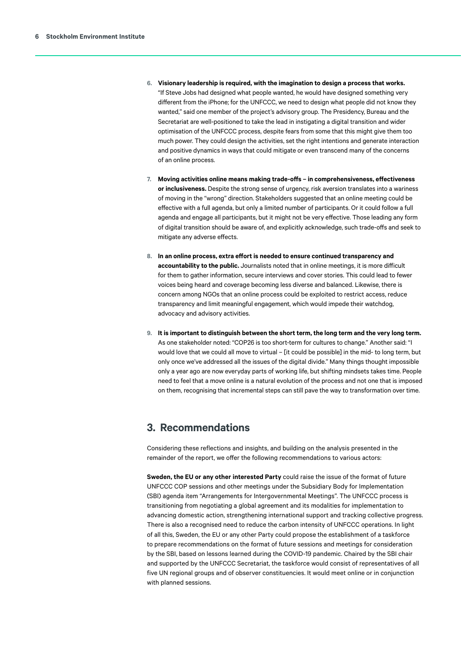- <span id="page-5-0"></span>**6. Visionary leadership is required, with the imagination to design a process that works.**  "If Steve Jobs had designed what people wanted, he would have designed something very different from the iPhone; for the UNFCCC, we need to design what people did not know they wanted," said one member of the project's advisory group. The Presidency, Bureau and the Secretariat are well-positioned to take the lead in instigating a digital transition and wider optimisation of the UNFCCC process, despite fears from some that this might give them too much power. They could design the activities, set the right intentions and generate interaction and positive dynamics in ways that could mitigate or even transcend many of the concerns of an online process.
- **7. Moving activities online means making trade-offs in comprehensiveness, effectiveness or inclusiveness.** Despite the strong sense of urgency, risk aversion translates into a wariness of moving in the "wrong" direction. Stakeholders suggested that an online meeting could be effective with a full agenda, but only a limited number of participants. Or it could follow a full agenda and engage all participants, but it might not be very effective. Those leading any form of digital transition should be aware of, and explicitly acknowledge, such trade-offs and seek to mitigate any adverse effects.
- **8. In an online process, extra effort is needed to ensure continued transparency and accountability to the public.** Journalists noted that in online meetings, it is more difficult for them to gather information, secure interviews and cover stories. This could lead to fewer voices being heard and coverage becoming less diverse and balanced. Likewise, there is concern among NGOs that an online process could be exploited to restrict access, reduce transparency and limit meaningful engagement, which would impede their watchdog, advocacy and advisory activities.
- **9. It is important to distinguish between the short term, the long term and the very long term.**  As one stakeholder noted: "COP26 is too short-term for cultures to change." Another said: "I would love that we could all move to virtual – [it could be possible] in the mid- to long term, but only once we've addressed all the issues of the digital divide." Many things thought impossible only a year ago are now everyday parts of working life, but shifting mindsets takes time. People need to feel that a move online is a natural evolution of the process and not one that is imposed on them, recognising that incremental steps can still pave the way to transformation over time.

# **3. Recommendations**

Considering these reflections and insights, and building on the analysis presented in the remainder of the report, we offer the following recommendations to various actors:

**Sweden, the EU or any other interested Party** could raise the issue of the format of future UNFCCC COP sessions and other meetings under the Subsidiary Body for Implementation (SBI) agenda item "Arrangements for Intergovernmental Meetings". The UNFCCC process is transitioning from negotiating a global agreement and its modalities for implementation to advancing domestic action, strengthening international support and tracking collective progress. There is also a recognised need to reduce the carbon intensity of UNFCCC operations. In light of all this, Sweden, the EU or any other Party could propose the establishment of a taskforce to prepare recommendations on the format of future sessions and meetings for consideration by the SBI, based on lessons learned during the COVID-19 pandemic. Chaired by the SBI chair and supported by the UNFCCC Secretariat, the taskforce would consist of representatives of all five UN regional groups and of observer constituencies. It would meet online or in conjunction with planned sessions.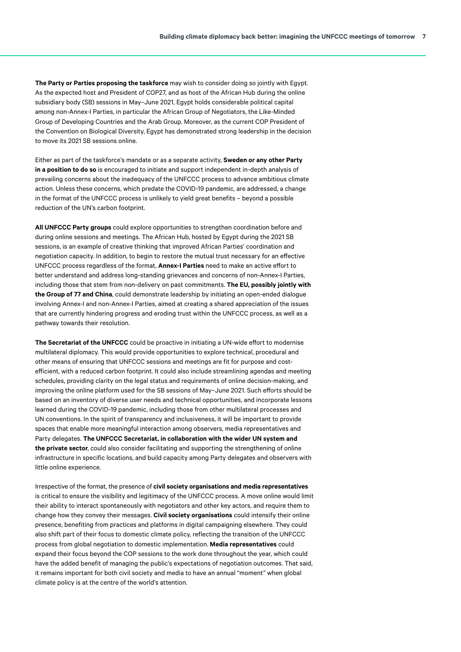**The Party or Parties proposing the taskforce** may wish to consider doing so jointly with Egypt. As the expected host and President of COP27, and as host of the African Hub during the online subsidiary body (SB) sessions in May–June 2021, Egypt holds considerable political capital among non-Annex-I Parties, in particular the African Group of Negotiators, the Like-Minded Group of Developing Countries and the Arab Group. Moreover, as the current COP President of the Convention on Biological Diversity, Egypt has demonstrated strong leadership in the decision to move its 2021 SB sessions online.

Either as part of the taskforce's mandate or as a separate activity, **Sweden or any other Party in a position to do so** is encouraged to initiate and support independent in-depth analysis of prevailing concerns about the inadequacy of the UNFCCC process to advance ambitious climate action. Unless these concerns, which predate the COVID-19 pandemic, are addressed, a change in the format of the UNFCCC process is unlikely to yield great benefits – beyond a possible reduction of the UN's carbon footprint.

**All UNFCCC Party groups** could explore opportunities to strengthen coordination before and during online sessions and meetings. The African Hub, hosted by Egypt during the 2021 SB sessions, is an example of creative thinking that improved African Parties' coordination and negotiation capacity. In addition, to begin to restore the mutual trust necessary for an effective UNFCCC process regardless of the format, **Annex-I Parties** need to make an active effort to better understand and address long-standing grievances and concerns of non-Annex-I Parties, including those that stem from non-delivery on past commitments. **The EU, possibly jointly with the Group of 77 and China**, could demonstrate leadership by initiating an open-ended dialogue involving Annex-I and non-Annex-I Parties, aimed at creating a shared appreciation of the issues that are currently hindering progress and eroding trust within the UNFCCC process, as well as a pathway towards their resolution.

**The Secretariat of the UNFCCC** could be proactive in initiating a UN-wide effort to modernise multilateral diplomacy. This would provide opportunities to explore technical, procedural and other means of ensuring that UNFCCC sessions and meetings are fit for purpose and costefficient, with a reduced carbon footprint. It could also include streamlining agendas and meeting schedules, providing clarity on the legal status and requirements of online decision-making, and improving the online platform used for the SB sessions of May–June 2021. Such efforts should be based on an inventory of diverse user needs and technical opportunities, and incorporate lessons learned during the COVID-19 pandemic, including those from other multilateral processes and UN conventions. In the spirit of transparency and inclusiveness, it will be important to provide spaces that enable more meaningful interaction among observers, media representatives and Party delegates. **The UNFCCC Secretariat, in collaboration with the wider UN system and the private sector**, could also consider facilitating and supporting the strengthening of online infrastructure in specific locations, and build capacity among Party delegates and observers with little online experience.

Irrespective of the format, the presence of **civil society organisations and media representatives** is critical to ensure the visibility and legitimacy of the UNFCCC process. A move online would limit their ability to interact spontaneously with negotiators and other key actors, and require them to change how they convey their messages. **Civil society organisations** could intensify their online presence, benefiting from practices and platforms in digital campaigning elsewhere. They could also shift part of their focus to domestic climate policy, reflecting the transition of the UNFCCC process from global negotiation to domestic implementation. **Media representatives** could expand their focus beyond the COP sessions to the work done throughout the year, which could have the added benefit of managing the public's expectations of negotiation outcomes. That said, it remains important for both civil society and media to have an annual "moment" when global climate policy is at the centre of the world's attention.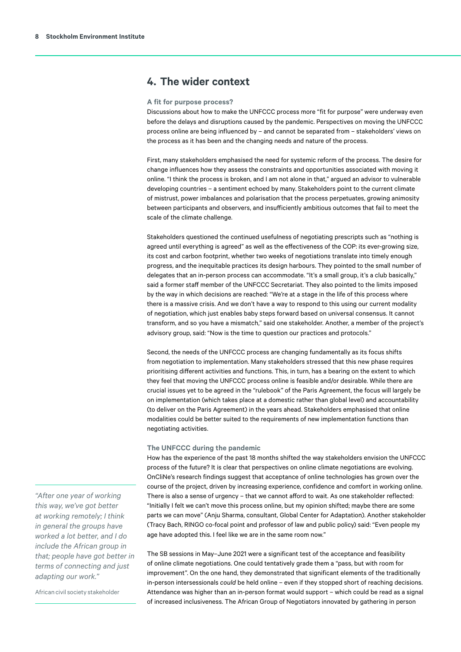# <span id="page-7-0"></span>**4. The wider context**

#### **A fit for purpose process?**

Discussions about how to make the UNFCCC process more "fit for purpose" were underway even before the delays and disruptions caused by the pandemic. Perspectives on moving the UNFCCC process online are being influenced by – and cannot be separated from – stakeholders' views on the process as it has been and the changing needs and nature of the process.

First, many stakeholders emphasised the need for systemic reform of the process. The desire for change influences how they assess the constraints and opportunities associated with moving it online. "I think the process is broken, and I am not alone in that," argued an advisor to vulnerable developing countries – a sentiment echoed by many. Stakeholders point to the current climate of mistrust, power imbalances and polarisation that the process perpetuates, growing animosity between participants and observers, and insufficiently ambitious outcomes that fail to meet the scale of the climate challenge.

Stakeholders questioned the continued usefulness of negotiating prescripts such as "nothing is agreed until everything is agreed" as well as the effectiveness of the COP: its ever-growing size, its cost and carbon footprint, whether two weeks of negotiations translate into timely enough progress, and the inequitable practices its design harbours. They pointed to the small number of delegates that an in-person process can accommodate. "It's a small group, it's a club basically," said a former staff member of the UNFCCC Secretariat. They also pointed to the limits imposed by the way in which decisions are reached: "We're at a stage in the life of this process where there is a massive crisis. And we don't have a way to respond to this using our current modality of negotiation, which just enables baby steps forward based on universal consensus. It cannot transform, and so you have a mismatch," said one stakeholder. Another, a member of the project's advisory group, said: "Now is the time to question our practices and protocols."

Second, the needs of the UNFCCC process are changing fundamentally as its focus shifts from negotiation to implementation. Many stakeholders stressed that this new phase requires prioritising different activities and functions. This, in turn, has a bearing on the extent to which they feel that moving the UNFCCC process online is feasible and/or desirable. While there are crucial issues yet to be agreed in the "rulebook" of the Paris Agreement, the focus will largely be on implementation (which takes place at a domestic rather than global level) and accountability (to deliver on the Paris Agreement) in the years ahead. Stakeholders emphasised that online modalities could be better suited to the requirements of new implementation functions than negotiating activities.

#### **The UNFCCC during the pandemic**

How has the experience of the past 18 months shifted the way stakeholders envision the UNFCCC process of the future? It is clear that perspectives on online climate negotiations are evolving. OnCliNe's research findings suggest that acceptance of online technologies has grown over the course of the project, driven by increasing experience, confidence and comfort in working online. There is also a sense of urgency – that we cannot afford to wait. As one stakeholder reflected: "Initially I felt we can't move this process online, but my opinion shifted; maybe there are some parts we can move" (Anju Sharma, consultant, Global Center for Adaptation). Another stakeholder (Tracy Bach, RINGO co-focal point and professor of law and public policy) said: "Even people my age have adopted this. I feel like we are in the same room now."

The SB sessions in May–June 2021 were a significant test of the acceptance and feasibility of online climate negotiations. One could tentatively grade them a "pass, but with room for improvement". On the one hand, they demonstrated that significant elements of the traditionally in-person intersessionals *could* be held online – even if they stopped short of reaching decisions. Attendance was higher than an in-person format would support – which could be read as a signal of increased inclusiveness. The African Group of Negotiators innovated by gathering in person

*"After one year of working this way, we've got better at working remotely; I think in general the groups have worked a lot better, and I do include the African group in that; people have got better in terms of connecting and just adapting our work."* 

African civil society stakeholder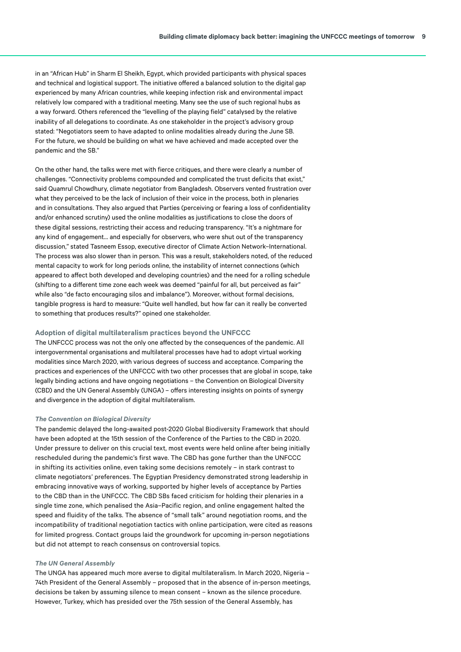in an "African Hub" in Sharm El Sheikh, Egypt, which provided participants with physical spaces and technical and logistical support. The initiative offered a balanced solution to the digital gap experienced by many African countries, while keeping infection risk and environmental impact relatively low compared with a traditional meeting. Many see the use of such regional hubs as a way forward. Others referenced the "levelling of the playing field" catalysed by the relative inability of all delegations to coordinate. As one stakeholder in the project's advisory group stated: "Negotiators seem to have adapted to online modalities already during the June SB. For the future, we should be building on what we have achieved and made accepted over the pandemic and the SB."

On the other hand, the talks were met with fierce critiques, and there were clearly a number of challenges. "Connectivity problems compounded and complicated the trust deficits that exist," said Quamrul Chowdhury, climate negotiator from Bangladesh. Observers vented frustration over what they perceived to be the lack of inclusion of their voice in the process, both in plenaries and in consultations. They also argued that Parties (perceiving or fearing a loss of confidentiality and/or enhanced scrutiny) used the online modalities as justifications to close the doors of these digital sessions, restricting their access and reducing transparency. "It's a nightmare for any kind of engagement… and especially for observers, who were shut out of the transparency discussion," stated Tasneem Essop, executive director of Climate Action Network–International. The process was also slower than in person. This was a result, stakeholders noted, of the reduced mental capacity to work for long periods online, the instability of internet connections (which appeared to affect both developed and developing countries) and the need for a rolling schedule (shifting to a different time zone each week was deemed "painful for all, but perceived as fair" while also "de facto encouraging silos and imbalance"). Moreover, without formal decisions, tangible progress is hard to measure: "Quite well handled, but how far can it really be converted to something that produces results?" opined one stakeholder.

#### **Adoption of digital multilateralism practices beyond the UNFCCC**

The UNFCCC process was not the only one affected by the consequences of the pandemic. All intergovernmental organisations and multilateral processes have had to adopt virtual working modalities since March 2020, with various degrees of success and acceptance. Comparing the practices and experiences of the UNFCCC with two other processes that are global in scope, take legally binding actions and have ongoing negotiations – the Convention on Biological Diversity (CBD) and the UN General Assembly (UNGA) – offers interesting insights on points of synergy and divergence in the adoption of digital multilateralism.

#### *The Convention on Biological Diversity*

The pandemic delayed the long-awaited post-2020 Global Biodiversity Framework that should have been adopted at the 15th session of the Conference of the Parties to the CBD in 2020. Under pressure to deliver on this crucial text, most events were held online after being initially rescheduled during the pandemic's first wave. The CBD has gone further than the UNFCCC in shifting its activities online, even taking some decisions remotely – in stark contrast to climate negotiators' preferences. The Egyptian Presidency demonstrated strong leadership in embracing innovative ways of working, supported by higher levels of acceptance by Parties to the CBD than in the UNFCCC. The CBD SBs faced criticism for holding their plenaries in a single time zone, which penalised the Asia–Pacific region, and online engagement halted the speed and fluidity of the talks. The absence of "small talk" around negotiation rooms, and the incompatibility of traditional negotiation tactics with online participation, were cited as reasons for limited progress. Contact groups laid the groundwork for upcoming in-person negotiations but did not attempt to reach consensus on controversial topics.

#### *The UN General Assembly*

The UNGA has appeared much more averse to digital multilateralism. In March 2020, Nigeria – 74th President of the General Assembly – proposed that in the absence of in-person meetings, decisions be taken by assuming silence to mean consent – known as the silence procedure. However, Turkey, which has presided over the 75th session of the General Assembly, has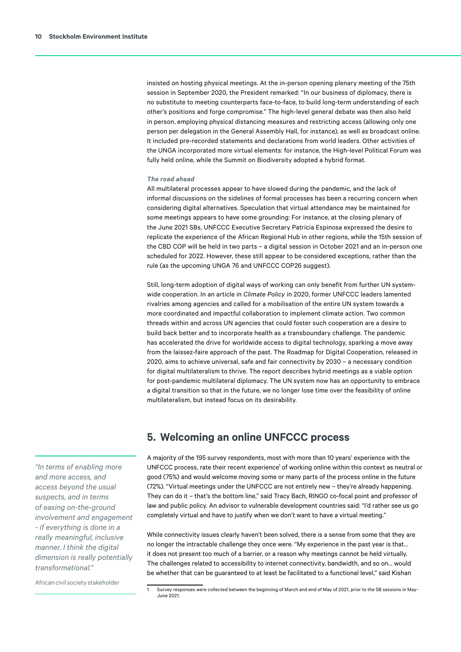<span id="page-9-0"></span>insisted on hosting physical meetings. At the in-person opening plenary meeting of the 75th session in September 2020, the President remarked: "In our business of diplomacy, there is no substitute to meeting counterparts face-to-face, to build long-term understanding of each other's positions and forge compromise." The high-level general debate was then also held in person, employing physical distancing measures and restricting access (allowing only one person per delegation in the General Assembly Hall, for instance), as well as broadcast online. It included pre-recorded statements and declarations from world leaders. Other activities of the UNGA incorporated more virtual elements: for instance, the High-level Political Forum was fully held online, while the Summit on Biodiversity adopted a hybrid format.

#### *The road ahead*

All multilateral processes appear to have slowed during the pandemic, and the lack of informal discussions on the sidelines of formal processes has been a recurring concern when considering digital alternatives. Speculation that virtual attendance may be maintained for some meetings appears to have some grounding: For instance, at the closing plenary of the June 2021 SBs, UNFCCC Executive Secretary Patricia Espinosa expressed the desire to replicate the experience of the African Regional Hub in other regions, while the 15th session of the CBD COP will be held in two parts – a digital session in October 2021 and an in-person one scheduled for 2022. However, these still appear to be considered exceptions, rather than the rule (as the upcoming UNGA 76 and UNFCCC COP26 suggest).

Still, long-term adoption of digital ways of working can only benefit from further UN systemwide cooperation. In an article in *Climate Policy* in 2020, former UNFCCC leaders lamented rivalries among agencies and called for a mobilisation of the entire UN system towards a more coordinated and impactful collaboration to implement climate action. Two common threads within and across UN agencies that could foster such cooperation are a desire to build back better and to incorporate health as a transboundary challenge. The pandemic has accelerated the drive for worldwide access to digital technology, sparking a move away from the laissez-faire approach of the past. The Roadmap for Digital Cooperation, released in 2020, aims to achieve universal, safe and fair connectivity by 2030 – a necessary condition for digital multilateralism to thrive. The report describes hybrid meetings as a viable option for post-pandemic multilateral diplomacy. The UN system now has an opportunity to embrace a digital transition so that in the future, we no longer lose time over the feasibility of online multilateralism, but instead focus on its desirability.

# **5. Welcoming an online UNFCCC process**

A majority of the 195 survey respondents, most with more than 10 years' experience with the UNFCCC process, rate their recent experience<sup>1</sup> of working online within this context as neutral or good (75%) and would welcome moving some or many parts of the process online in the future (72%). "Virtual meetings under the UNFCCC are not entirely new – they're already happening. They can do it – that's the bottom line," said Tracy Bach, RINGO co-focal point and professor of law and public policy. An advisor to vulnerable development countries said: "I'd rather see us go completely virtual and have to justify when we don't want to have a virtual meeting."

While connectivity issues clearly haven't been solved, there is a sense from some that they are no longer the intractable challenge they once were. "My experience in the past year is that… it does not present too much of a barrier, or a reason why meetings cannot be held virtually. The challenges related to accessibility to internet connectivity, bandwidth, and so on… would be whether that can be guaranteed to at least be facilitated to a functional level," said Kishan

*"In terms of enabling more and more access, and access beyond the usual suspects, and in terms of easing on-the-ground involvement and engagement - if everything is done in a really meaningful, inclusive manner, I think the digital dimension is really potentially transformational."* 

African civil society stakeholder

Survey responses were collected between the beginning of March and end of May of 2021, prior to the SB sessions in May-June 2021.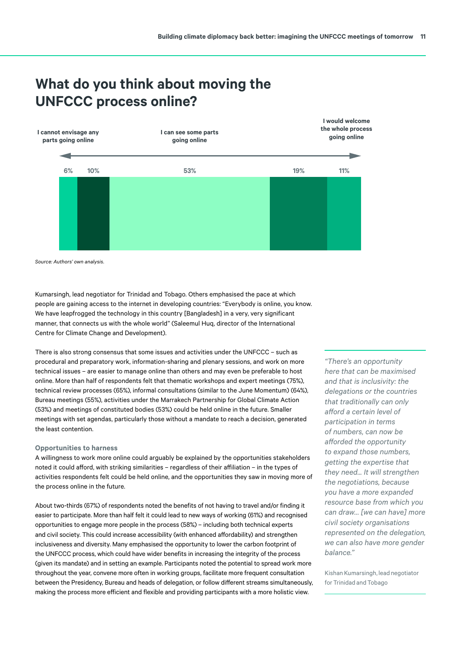

# **What do you think about moving the UNFCCC process online?**

Kumarsingh, lead negotiator for Trinidad and Tobago. Others emphasised the pace at which people are gaining access to the internet in developing countries: "Everybody is online, you know. We have leapfrogged the technology in this country [Bangladesh] in a very, very significant manner, that connects us with the whole world" (Saleemul Huq, director of the International Centre for Climate Change and Development).

There is also strong consensus that some issues and activities under the UNFCCC – such as procedural and preparatory work, information-sharing and plenary sessions, and work on more technical issues – are easier to manage online than others and may even be preferable to host online. More than half of respondents felt that thematic workshops and expert meetings (75%), technical review processes (65%), informal consultations (similar to the June Momentum) (64%), Bureau meetings (55%), activities under the Marrakech Partnership for Global Climate Action (53%) and meetings of constituted bodies (53%) could be held online in the future. Smaller meetings with set agendas, particularly those without a mandate to reach a decision, generated the least contention.

#### **Opportunities to harness**

A willingness to work more online could arguably be explained by the opportunities stakeholders noted it could afford, with striking similarities – regardless of their affiliation – in the types of activities respondents felt could be held online, and the opportunities they saw in moving more of the process online in the future.

About two-thirds (67%) of respondents noted the benefits of not having to travel and/or finding it easier to participate. More than half felt it could lead to new ways of working (61%) and recognised opportunities to engage more people in the process (58%) – including both technical experts and civil society. This could increase accessibility (with enhanced affordability) and strengthen inclusiveness and diversity. Many emphasised the opportunity to lower the carbon footprint of the UNFCCC process, which could have wider benefits in increasing the integrity of the process (given its mandate) and in setting an example. Participants noted the potential to spread work more throughout the year, convene more often in working groups, facilitate more frequent consultation between the Presidency, Bureau and heads of delegation, or follow different streams simultaneously, making the process more efficient and flexible and providing participants with a more holistic view.

*"There's an opportunity here that can be maximised and that is inclusivity: the delegations or the countries that traditionally can only afford a certain level of participation in terms of numbers, can now be afforded the opportunity to expand those numbers, getting the expertise that they need... It will strengthen the negotiations, because you have a more expanded resource base from which you can draw… [we can have] more civil society organisations represented on the delegation, we can also have more gender balance."* 

Kishan Kumarsingh, lead negotiator for Trinidad and Tobago

*Source: Authors' own analysis.*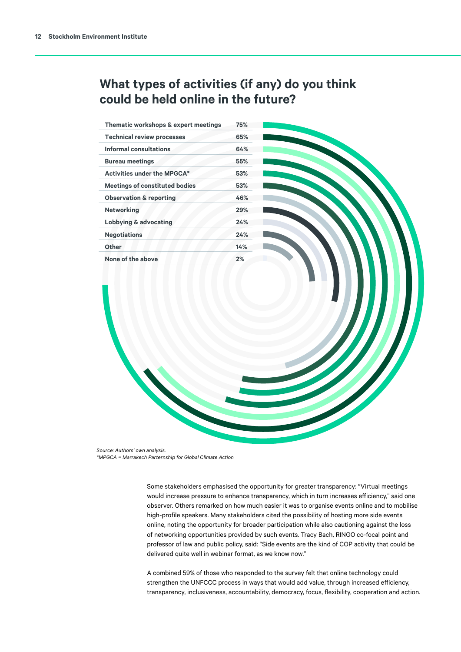# **What types of activities (if any) do you think could be held online in the future?**

| Thematic workshops & expert meetings  | 75% |
|---------------------------------------|-----|
| <b>Technical review processes</b>     | 65% |
| Informal consultations                | 64% |
| <b>Bureau meetings</b>                | 55% |
| <b>Activities under the MPGCA*</b>    | 53% |
| <b>Meetings of constituted bodies</b> | 53% |
| <b>Observation &amp; reporting</b>    | 46% |
| <b>Networking</b>                     | 29% |
| <b>Lobbying &amp; advocating</b>      | 24% |
| <b>Negotiations</b>                   | 24% |
| Other                                 | 14% |
| None of the above                     | 2%  |

*\*MPGCA = Marrakech Partnership for Global Climate Action Source: SEI, 2021 \*MPGCA = Marrakech Parternship for Global Climate ActionSource: Authors' own analysis.*

> Some stakeholders emphasised the opportunity for greater transparency: "Virtual meetings would increase pressure to enhance transparency, which in turn increases efficiency," said one observer. Others remarked on how much easier it was to organise events online and to mobilise high-profile speakers. Many stakeholders cited the possibility of hosting more side events online, noting the opportunity for broader participation while also cautioning against the loss of networking opportunities provided by such events. Tracy Bach, RINGO co-focal point and professor of law and public policy, said: "Side events are the kind of COP activity that could be delivered quite well in webinar format, as we know now."

A combined 59% of those who responded to the survey felt that online technology could strengthen the UNFCCC process in ways that would add value, through increased efficiency, transparency, inclusiveness, accountability, democracy, focus, flexibility, cooperation and action.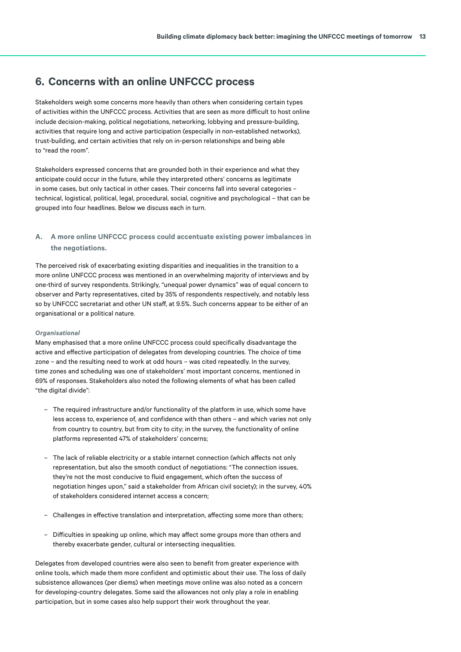# <span id="page-12-0"></span>**6. Concerns with an online UNFCCC process**

Stakeholders weigh some concerns more heavily than others when considering certain types of activities within the UNFCCC process. Activities that are seen as more difficult to host online include decision-making, political negotiations, networking, lobbying and pressure-building, activities that require long and active participation (especially in non-established networks), trust-building, and certain activities that rely on in-person relationships and being able to "read the room".

Stakeholders expressed concerns that are grounded both in their experience and what they anticipate could occur in the future, while they interpreted others' concerns as legitimate in some cases, but only tactical in other cases. Their concerns fall into several categories – technical, logistical, political, legal, procedural, social, cognitive and psychological – that can be grouped into four headlines. Below we discuss each in turn.

#### **A. A more online UNFCCC process could accentuate existing power imbalances in the negotiations.**

The perceived risk of exacerbating existing disparities and inequalities in the transition to a more online UNFCCC process was mentioned in an overwhelming majority of interviews and by one-third of survey respondents. Strikingly, "unequal power dynamics" was of equal concern to observer and Party representatives, cited by 35% of respondents respectively, and notably less so by UNFCCC secretariat and other UN staff, at 9.5%. Such concerns appear to be either of an organisational or a political nature.

#### *Organisational*

Many emphasised that a more online UNFCCC process could specifically disadvantage the active and effective participation of delegates from developing countries. The choice of time zone – and the resulting need to work at odd hours – was cited repeatedly. In the survey, time zones and scheduling was one of stakeholders' most important concerns, mentioned in 69% of responses. Stakeholders also noted the following elements of what has been called "the digital divide":

- The required infrastructure and/or functionality of the platform in use, which some have less access to, experience of, and confidence with than others – and which varies not only from country to country, but from city to city; in the survey, the functionality of online platforms represented 47% of stakeholders' concerns;
- The lack of reliable electricity or a stable internet connection (which affects not only representation, but also the smooth conduct of negotiations: "The connection issues, they're not the most conducive to fluid engagement, which often the success of negotiation hinges upon," said a stakeholder from African civil society); in the survey, 40% of stakeholders considered internet access a concern;
- Challenges in effective translation and interpretation, affecting some more than others;
- Difficulties in speaking up online, which may affect some groups more than others and thereby exacerbate gender, cultural or intersecting inequalities.

Delegates from developed countries were also seen to benefit from greater experience with online tools, which made them more confident and optimistic about their use. The loss of daily subsistence allowances (per diems) when meetings move online was also noted as a concern for developing-country delegates. Some said the allowances not only play a role in enabling participation, but in some cases also help support their work throughout the year.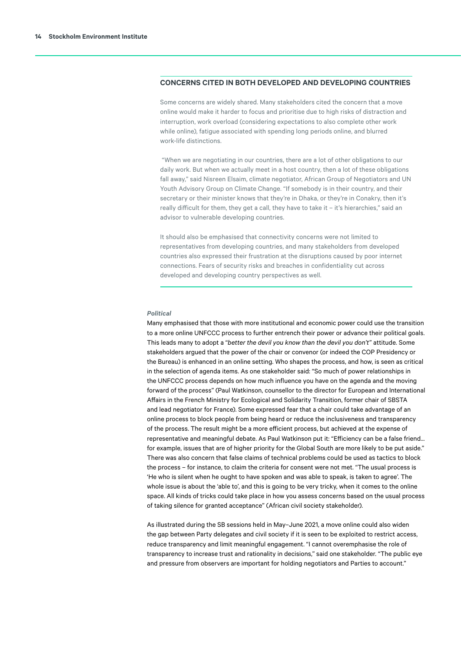#### **CONCERNS CITED IN BOTH DEVELOPED AND DEVELOPING COUNTRIES**

Some concerns are widely shared. Many stakeholders cited the concern that a move online would make it harder to focus and prioritise due to high risks of distraction and interruption, work overload (considering expectations to also complete other work while online), fatigue associated with spending long periods online, and blurred work-life distinctions.

 "When we are negotiating in our countries, there are a lot of other obligations to our daily work. But when we actually meet in a host country, then a lot of these obligations fall away," said Nisreen Elsaim, climate negotiator, African Group of Negotiators and UN Youth Advisory Group on Climate Change. "If somebody is in their country, and their secretary or their minister knows that they're in Dhaka, or they're in Conakry, then it's really difficult for them, they get a call, they have to take it – it's hierarchies," said an advisor to vulnerable developing countries.

It should also be emphasised that connectivity concerns were not limited to representatives from developing countries, and many stakeholders from developed countries also expressed their frustration at the disruptions caused by poor internet connections. Fears of security risks and breaches in confidentiality cut across developed and developing country perspectives as well.

#### *Political*

Many emphasised that those with more institutional and economic power could use the transition to a more online UNFCCC process to further entrench their power or advance their political goals. This leads many to adopt a "*better the devil you know than the devil you don't*" attitude. Some stakeholders argued that the power of the chair or convenor (or indeed the COP Presidency or the Bureau) is enhanced in an online setting. Who shapes the process, and how, is seen as critical in the selection of agenda items. As one stakeholder said: "So much of power relationships in the UNFCCC process depends on how much influence you have on the agenda and the moving forward of the process" (Paul Watkinson, counsellor to the director for European and International Affairs in the French Ministry for Ecological and Solidarity Transition, former chair of SBSTA and lead negotiator for France). Some expressed fear that a chair could take advantage of an online process to block people from being heard or reduce the inclusiveness and transparency of the process. The result might be a more efficient process, but achieved at the expense of representative and meaningful debate. As Paul Watkinson put it: "Efficiency can be a false friend... for example, issues that are of higher priority for the Global South are more likely to be put aside." There was also concern that false claims of technical problems could be used as tactics to block the process – for instance, to claim the criteria for consent were not met. "The usual process is 'He who is silent when he ought to have spoken and was able to speak, is taken to agree'. The whole issue is about the 'able to', and this is going to be very tricky, when it comes to the online space. All kinds of tricks could take place in how you assess concerns based on the usual process of taking silence for granted acceptance" (African civil society stakeholder).

As illustrated during the SB sessions held in May–June 2021, a move online could also widen the gap between Party delegates and civil society if it is seen to be exploited to restrict access, reduce transparency and limit meaningful engagement. "I cannot overemphasise the role of transparency to increase trust and rationality in decisions," said one stakeholder. "The public eye and pressure from observers are important for holding negotiators and Parties to account."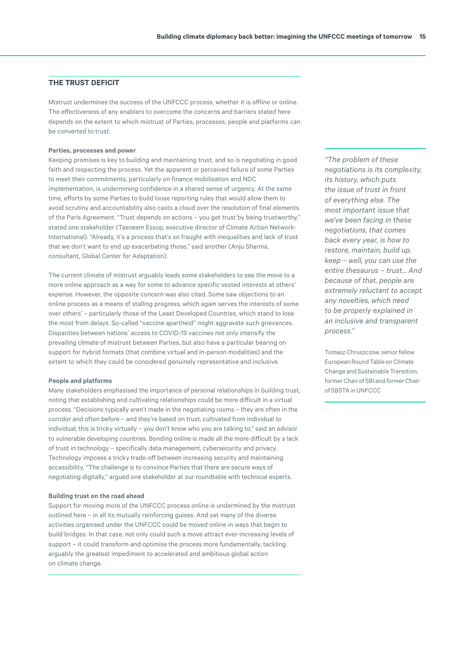#### **THE TRUST DEFICIT**

Mistrust undermines the success of the UNFCCC process, whether it is offline or online. The effectiveness of any enablers to overcome the concerns and barriers stated here depends on the extent to which mistrust of Parties, processes, people and platforms can be converted to trust.

#### **Parties, processes and power**

Keeping promises is key to building and maintaining trust, and so is negotiating in good faith and respecting the process. Yet the apparent or perceived failure of some Parties to meet their commitments, particularly on finance mobilisation and NDC implementation, is undermining confidence in a shared sense of urgency. At the same time, efforts by some Parties to build loose reporting rules that would allow them to avoid scrutiny and accountability also casts a cloud over the resolution of final elements of the Paris Agreement. "Trust depends on actions – you get trust by being trustworthy," stated one stakeholder (Tasneem Essop, executive director of Climate Action Network-International). "Already, it's a process that's so fraught with inequalities and lack of trust that we don't want to end up exacerbating those," said another (Anju Sharma, consultant, Global Center for Adaptation).

The current climate of mistrust arguably leads some stakeholders to see the move to a more online approach as a way for some to advance specific vested interests at others' expense. However, the opposite concern was also cited. Some saw objections to an online process as a means of stalling progress, which again serves the interests of some over others' – particularly those of the Least Developed Countries, which stand to lose the most from delays. So-called "vaccine apartheid" might aggravate such grievances. Disparities between nations' access to COVID-19 vaccines not only intensify the prevailing climate of mistrust between Parties, but also have a particular bearing on support for hybrid formats (that combine virtual and in-person modalities) and the extent to which they could be considered genuinely representative and inclusive.

#### **People and platforms**

Many stakeholders emphasised the importance of personal relationships in building trust, noting that establishing and cultivating relationships could be more difficult in a virtual process. "Decisions typically aren't made in the negotiating rooms – they are often in the corridor and often before – and they're based on trust, cultivated from individual to individual; this is tricky virtually – you don't know who you are talking to," said an advisor to vulnerable developing countries. Bonding online is made all the more difficult by a lack of trust in technology – specifically data management, cybersecurity and privacy. Technology imposes a tricky trade-off between increasing security and maintaining accessibility. "The challenge is to convince Parties that there are secure ways of negotiating digitally," argued one stakeholder at our roundtable with technical experts.

#### **Building trust on the road ahead**

Support for moving more of the UNFCCC process online is undermined by the mistrust outlined here – in all its mutually reinforcing guises. And yet many of the diverse activities organised under the UNFCCC could be moved online in ways that begin to build bridges. In that case, not only could such a move attract ever-increasing levels of support – it could transform and optimise the process more fundamentally, tackling arguably the greatest impediment to accelerated and ambitious global action on climate change.

*"The problem of these negotiations is its complexity, its history, which puts the issue of trust in front of everything else. The most important issue that we've been facing in these negotiations, that comes back every year, is how to restore, maintain, build up, keep – well, you can use the entire thesaurus – trust... And because of that, people are extremely reluctant to accept any novelties, which need to be properly explained in an inclusive and transparent process."* 

Tomasz Chruszczow, senior fellow European Round Table on Climate Change and Sustainable Transition, former Chair of SBI and former Chair of SBSTA in UNFCCC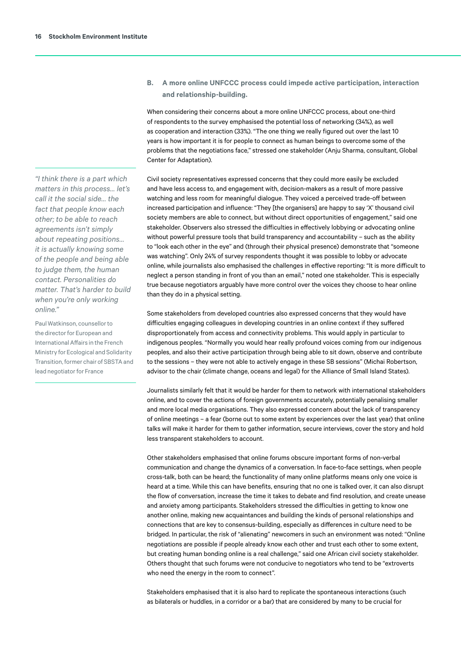**B. A more online UNFCCC process could impede active participation, interaction and relationship-building.**

When considering their concerns about a more online UNFCCC process, about one-third of respondents to the survey emphasised the potential loss of networking (34%), as well as cooperation and interaction (33%). "The one thing we really figured out over the last 10 years is how important it is for people to connect as human beings to overcome some of the problems that the negotiations face," stressed one stakeholder (Anju Sharma, consultant, Global Center for Adaptation).

Civil society representatives expressed concerns that they could more easily be excluded and have less access to, and engagement with, decision-makers as a result of more passive watching and less room for meaningful dialogue. They voiced a perceived trade-off between increased participation and influence: "They [the organisers] are happy to say 'X' thousand civil society members are able to connect, but without direct opportunities of engagement," said one stakeholder. Observers also stressed the difficulties in effectively lobbying or advocating online without powerful pressure tools that build transparency and accountability – such as the ability to "look each other in the eye" and (through their physical presence) demonstrate that "someone was watching". Only 24% of survey respondents thought it was possible to lobby or advocate online, while journalists also emphasised the challenges in effective reporting: "It is more difficult to neglect a person standing in front of you than an email," noted one stakeholder. This is especially true because negotiators arguably have more control over the voices they choose to hear online than they do in a physical setting.

Some stakeholders from developed countries also expressed concerns that they would have difficulties engaging colleagues in developing countries in an online context if they suffered disproportionately from access and connectivity problems. This would apply in particular to indigenous peoples. "Normally you would hear really profound voices coming from our indigenous peoples, and also their active participation through being able to sit down, observe and contribute to the sessions – they were not able to actively engage in these SB sessions" (Michai Robertson, advisor to the chair (climate change, oceans and legal) for the Alliance of Small Island States).

Journalists similarly felt that it would be harder for them to network with international stakeholders online, and to cover the actions of foreign governments accurately, potentially penalising smaller and more local media organisations. They also expressed concern about the lack of transparency of online meetings – a fear (borne out to some extent by experiences over the last year) that online talks will make it harder for them to gather information, secure interviews, cover the story and hold less transparent stakeholders to account.

Other stakeholders emphasised that online forums obscure important forms of non-verbal communication and change the dynamics of a conversation. In face-to-face settings, when people cross-talk, both can be heard; the functionality of many online platforms means only one voice is heard at a time. While this can have benefits, ensuring that no one is talked over, it can also disrupt the flow of conversation, increase the time it takes to debate and find resolution, and create unease and anxiety among participants. Stakeholders stressed the difficulties in getting to know one another online, making new acquaintances and building the kinds of personal relationships and connections that are key to consensus-building, especially as differences in culture need to be bridged. In particular, the risk of "alienating" newcomers in such an environment was noted: "Online negotiations are possible if people already know each other and trust each other to some extent, but creating human bonding online is a real challenge," said one African civil society stakeholder. Others thought that such forums were not conducive to negotiators who tend to be "extroverts who need the energy in the room to connect".

Stakeholders emphasised that it is also hard to replicate the spontaneous interactions (such as bilaterals or huddles, in a corridor or a bar) that are considered by many to be crucial for

*"I think there is a part which matters in this process… let's call it the social side… the fact that people know each other; to be able to reach agreements isn't simply about repeating positions… it is actually knowing some of the people and being able to judge them, the human contact. Personalities do matter. That's harder to build when you're only working online."* 

Paul Watkinson, counsellor to the director for European and International Affairs in the French Ministry for Ecological and Solidarity Transition, former chair of SBSTA and lead negotiator for France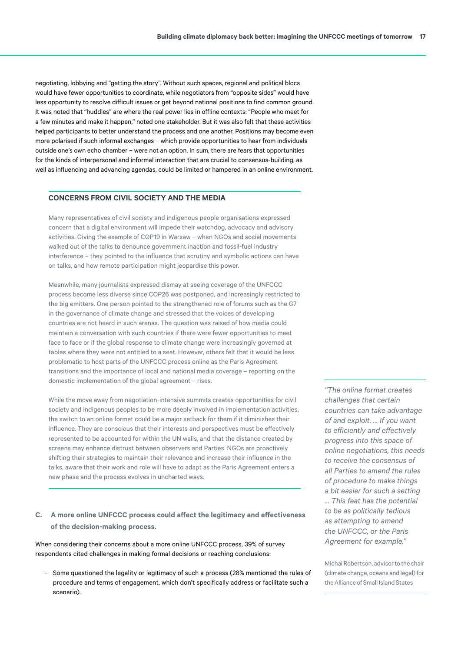negotiating, lobbying and "getting the story". Without such spaces, regional and political blocs would have fewer opportunities to coordinate, while negotiators from "opposite sides" would have less opportunity to resolve difficult issues or get beyond national positions to find common ground. It was noted that "huddles" are where the real power lies in offline contexts: "People who meet for a few minutes and make it happen," noted one stakeholder. But it was also felt that these activities helped participants to better understand the process and one another. Positions may become even more polarised if such informal exchanges – which provide opportunities to hear from individuals outside one's own echo chamber – were not an option. In sum, there are fears that opportunities for the kinds of interpersonal and informal interaction that are crucial to consensus-building, as well as influencing and advancing agendas, could be limited or hampered in an online environment.

#### **CONCERNS FROM CIVIL SOCIETY AND THE MEDIA**

Many representatives of civil society and indigenous people organisations expressed concern that a digital environment will impede their watchdog, advocacy and advisory activities. Giving the example of COP19 in Warsaw – when NGOs and social movements walked out of the talks to denounce government inaction and fossil-fuel industry interference – they pointed to the influence that scrutiny and symbolic actions can have on talks, and how remote participation might jeopardise this power.

Meanwhile, many journalists expressed dismay at seeing coverage of the UNFCCC process become less diverse since COP26 was postponed, and increasingly restricted to the big emitters. One person pointed to the strengthened role of forums such as the G7 in the governance of climate change and stressed that the voices of developing countries are not heard in such arenas. The question was raised of how media could maintain a conversation with such countries if there were fewer opportunities to meet face to face or if the global response to climate change were increasingly governed at tables where they were not entitled to a seat. However, others felt that it would be less problematic to host parts of the UNFCCC process online as the Paris Agreement transitions and the importance of local and national media coverage – reporting on the domestic implementation of the global agreement – rises.

While the move away from negotiation-intensive summits creates opportunities for civil society and indigenous peoples to be more deeply involved in implementation activities, the switch to an online format could be a major setback for them if it diminishes their influence. They are conscious that their interests and perspectives must be effectively represented to be accounted for within the UN walls, and that the distance created by screens may enhance distrust between observers and Parties. NGOs are proactively shifting their strategies to maintain their relevance and increase their influence in the talks, aware that their work and role will have to adapt as the Paris Agreement enters a new phase and the process evolves in uncharted ways.

## **C. A more online UNFCCC process could affect the legitimacy and effectiveness of the decision-making process.**

When considering their concerns about a more online UNFCCC process, 39% of survey respondents cited challenges in making formal decisions or reaching conclusions:

– Some questioned the legality or legitimacy of such a process (28% mentioned the rules of procedure and terms of engagement, which don't specifically address or facilitate such a scenario).

*"The online format creates challenges that certain countries can take advantage of and exploit. … If you want to efficiently and effectively progress into this space of online negotiations, this needs to receive the consensus of all Parties to amend the rules of procedure to make things a bit easier for such a setting … This feat has the potential to be as politically tedious as attempting to amend the UNFCCC, or the Paris Agreement for example."* 

Michai Robertson, advisor to the chair (climate change, oceans and legal) for the Alliance of Small Island States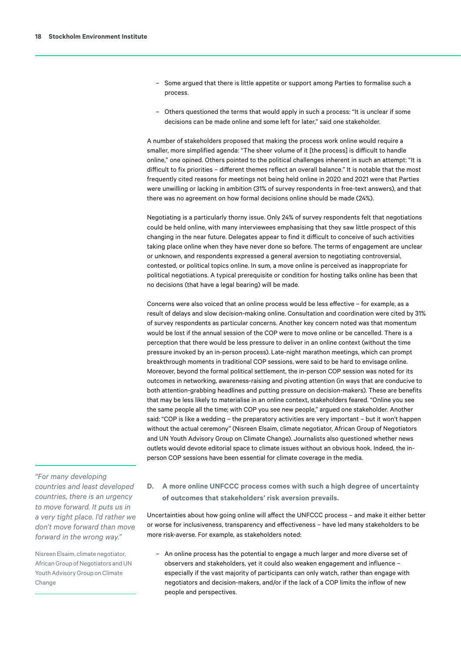- Some argued that there is little appetite or support among Parties to formalise such a process.
- Others questioned the terms that would apply in such a process: "It is unclear if some decisions can be made online and some left for later," said one stakeholder.

A number of stakeholders proposed that making the process work online would require a smaller, more simplified agenda: "The sheer volume of it [the process] is difficult to handle online," one opined. Others pointed to the political challenges inherent in such an attempt: "It is difficult to fix priorities – different themes reflect an overall balance." It is notable that the most frequently cited reasons for meetings not being held online in 2020 and 2021 were that Parties were unwilling or lacking in ambition (31% of survey respondents in free-text answers), and that there was no agreement on how formal decisions online should be made (24%).

Negotiating is a particularly thorny issue. Only 24% of survey respondents felt that negotiations could be held online, with many interviewees emphasising that they saw little prospect of this changing in the near future. Delegates appear to find it difficult to conceive of such activities taking place online when they have never done so before. The terms of engagement are unclear or unknown, and respondents expressed a general aversion to negotiating controversial, contested, or political topics online. In sum, a move online is perceived as inappropriate for political negotiations. A typical prerequisite or condition for hosting talks online has been that no decisions (that have a legal bearing) will be made.

Concerns were also voiced that an online process would be less effective – for example, as a result of delays and slow decision-making online. Consultation and coordination were cited by 31% of survey respondents as particular concerns. Another key concern noted was that momentum would be lost if the annual session of the COP were to move online or be cancelled. There is a perception that there would be less pressure to deliver in an online context (without the time pressure invoked by an in-person process). Late-night marathon meetings, which can prompt breakthrough moments in traditional COP sessions, were said to be hard to envisage online. Moreover, beyond the formal political settlement, the in-person COP session was noted for its outcomes in networking, awareness-raising and pivoting attention (in ways that are conducive to both attention-grabbing headlines and putting pressure on decision-makers). These are benefits that may be less likely to materialise in an online context, stakeholders feared. "Online you see the same people all the time; with COP you see new people," argued one stakeholder. Another said: "COP is like a wedding – the preparatory activities are very important – but it won't happen without the actual ceremony" (Nisreen Elsaim, climate negotiator, African Group of Negotiators and UN Youth Advisory Group on Climate Change). Journalists also questioned whether news outlets would devote editorial space to climate issues without an obvious hook. Indeed, the inperson COP sessions have been essential for climate coverage in the media.

*"For many developing countries and least developed countries, there is an urgency to move forward. It puts us in a very tight place. I'd rather we don't move forward than move forward in the wrong way."* 

Nisreen Elsaim, climate negotiator, African Group of Negotiators and UN Youth Advisory Group on Climate Change

**D. A more online UNFCCC process comes with such a high degree of uncertainty of outcomes that stakeholders' risk aversion prevails.**

Uncertainties about how going online will affect the UNFCCC process – and make it either better or worse for inclusiveness, transparency and effectiveness – have led many stakeholders to be more risk-averse. For example, as stakeholders noted:

– An online process has the potential to engage a much larger and more diverse set of observers and stakeholders, yet it could also weaken engagement and influence – especially if the vast majority of participants can only watch, rather than engage with negotiators and decision-makers, and/or if the lack of a COP limits the inflow of new people and perspectives.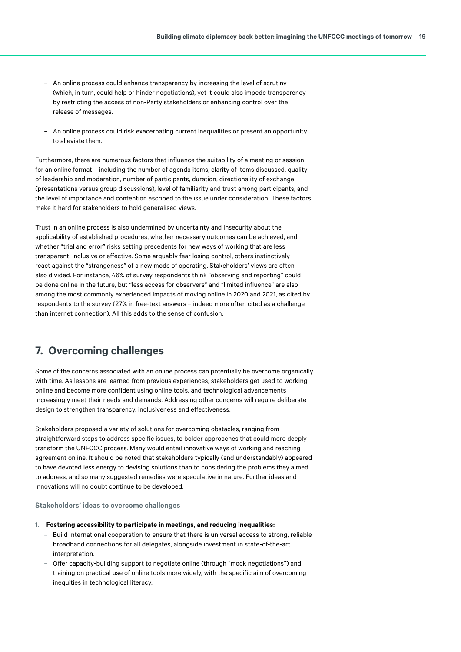- <span id="page-18-0"></span>– An online process could enhance transparency by increasing the level of scrutiny (which, in turn, could help or hinder negotiations), yet it could also impede transparency by restricting the access of non-Party stakeholders or enhancing control over the release of messages.
- An online process could risk exacerbating current inequalities or present an opportunity to alleviate them.

Furthermore, there are numerous factors that influence the suitability of a meeting or session for an online format – including the number of agenda items, clarity of items discussed, quality of leadership and moderation, number of participants, duration, directionality of exchange (presentations versus group discussions), level of familiarity and trust among participants, and the level of importance and contention ascribed to the issue under consideration. These factors make it hard for stakeholders to hold generalised views.

Trust in an online process is also undermined by uncertainty and insecurity about the applicability of established procedures, whether necessary outcomes can be achieved, and whether "trial and error" risks setting precedents for new ways of working that are less transparent, inclusive or effective. Some arguably fear losing control, others instinctively react against the "strangeness" of a new mode of operating. Stakeholders' views are often also divided. For instance, 46% of survey respondents think "observing and reporting" could be done online in the future, but "less access for observers" and "limited influence" are also among the most commonly experienced impacts of moving online in 2020 and 2021, as cited by respondents to the survey (27% in free-text answers – indeed more often cited as a challenge than internet connection). All this adds to the sense of confusion.

# **7. Overcoming challenges**

Some of the concerns associated with an online process can potentially be overcome organically with time. As lessons are learned from previous experiences, stakeholders get used to working online and become more confident using online tools, and technological advancements increasingly meet their needs and demands. Addressing other concerns will require deliberate design to strengthen transparency, inclusiveness and effectiveness.

Stakeholders proposed a variety of solutions for overcoming obstacles, ranging from straightforward steps to address specific issues, to bolder approaches that could more deeply transform the UNFCCC process. Many would entail innovative ways of working and reaching agreement online. It should be noted that stakeholders typically (and understandably) appeared to have devoted less energy to devising solutions than to considering the problems they aimed to address, and so many suggested remedies were speculative in nature. Further ideas and innovations will no doubt continue to be developed.

#### **Stakeholders' ideas to overcome challenges**

- **1. Fostering accessibility to participate in meetings, and reducing inequalities:**
	- Build international cooperation to ensure that there is universal access to strong, reliable broadband connections for all delegates, alongside investment in state-of-the-art interpretation.
	- Offer capacity-building support to negotiate online (through "mock negotiations") and training on practical use of online tools more widely, with the specific aim of overcoming inequities in technological literacy.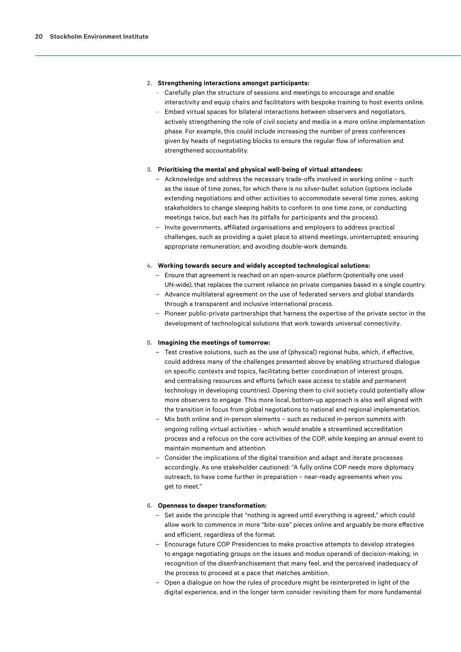#### **2. Strengthening interactions amongst participants:**

- Carefully plan the structure of sessions and meetings to encourage and enable interactivity and equip chairs and facilitators with bespoke training to host events online.
- Embed virtual spaces for bilateral interactions between observers and negotiators, actively strengthening the role of civil society and media in a more online implementation phase. For example, this could include increasing the number of press conferences given by heads of negotiating blocks to ensure the regular flow of information and strengthened accountability.

#### **3. Prioritising the mental and physical well-being of virtual attendees:**

- Acknowledge and address the necessary trade-offs involved in working online such as the issue of time zones, for which there is no silver-bullet solution (options include extending negotiations and other activities to accommodate several time zones, asking stakeholders to change sleeping habits to conform to one time zone, or conducting meetings twice, but each has its pitfalls for participants and the process).
- Invite governments, affiliated organisations and employers to address practical challenges, such as providing a quiet place to attend meetings, uninterrupted; ensuring appropriate remuneration; and avoiding double-work demands.

#### **4. Working towards secure and widely accepted technological solutions:**

- Ensure that agreement is reached on an open-source platform (potentially one used UN-wide), that replaces the current reliance on private companies based in a single country.
- Advance multilateral agreement on the use of federated servers and global standards through a transparent and inclusive international process.
- Pioneer public-private partnerships that harness the expertise of the private sector in the development of technological solutions that work towards universal connectivity.

#### **5. Imagining the meetings of tomorrow:**

- Test creative solutions, such as the use of (physical) regional hubs, which, if effective, could address many of the challenges presented above by enabling structured dialogue on specific contexts and topics, facilitating better coordination of interest groups, and centralising resources and efforts (which ease access to stable and permanent technology in developing countries). Opening them to civil society could potentially allow more observers to engage. This more local, bottom-up approach is also well aligned with the transition in focus from global negotiations to national and regional implementation.
- Mix both online and in-person elements such as reduced in-person summits with ongoing rolling virtual activities – which would enable a streamlined accreditation process and a refocus on the core activities of the COP, while keeping an annual event to maintain momentum and attention.
- Consider the implications of the digital transition and adapt and iterate processes accordingly. As one stakeholder cautioned: "A fully online COP needs more diplomacy outreach, to have come further in preparation – near-ready agreements when you get to meet."

#### **6. Openness to deeper transformation:**

- Set aside the principle that "nothing is agreed until everything is agreed," which could allow work to commence in more "bite-size" pieces online and arguably be more effective and efficient, regardless of the format.
- Encourage future COP Presidencies to make proactive attempts to develop strategies to engage negotiating groups on the issues and modus operandi of decision-making, in recognition of the disenfranchisement that many feel, and the perceived inadequacy of the process to proceed at a pace that matches ambition.
- Open a dialogue on how the rules of procedure might be reinterpreted in light of the digital experience, and in the longer term consider revisiting them for more fundamental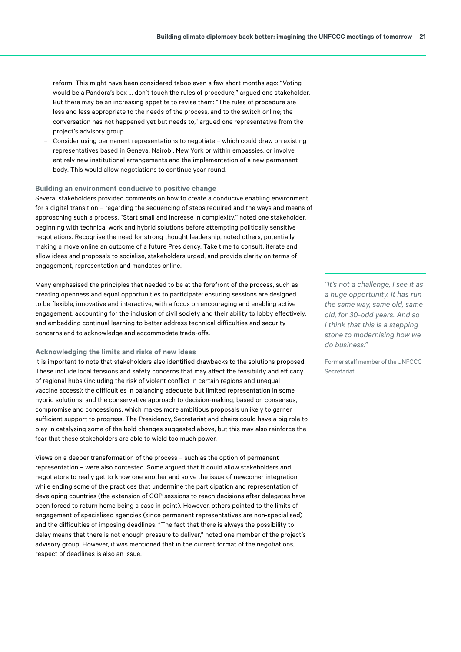reform. This might have been considered taboo even a few short months ago: "Voting would be a Pandora's box ... don't touch the rules of procedure," argued one stakeholder. But there may be an increasing appetite to revise them: "The rules of procedure are less and less appropriate to the needs of the process, and to the switch online; the conversation has not happened yet but needs to," argued one representative from the project's advisory group.

– Consider using permanent representations to negotiate – which could draw on existing representatives based in Geneva, Nairobi, New York or within embassies, or involve entirely new institutional arrangements and the implementation of a new permanent body. This would allow negotiations to continue year-round.

#### **Building an environment conducive to positive change**

Several stakeholders provided comments on how to create a conducive enabling environment for a digital transition – regarding the sequencing of steps required and the ways and means of approaching such a process. "Start small and increase in complexity," noted one stakeholder, beginning with technical work and hybrid solutions before attempting politically sensitive negotiations. Recognise the need for strong thought leadership, noted others, potentially making a move online an outcome of a future Presidency. Take time to consult, iterate and allow ideas and proposals to socialise, stakeholders urged, and provide clarity on terms of engagement, representation and mandates online.

Many emphasised the principles that needed to be at the forefront of the process, such as creating openness and equal opportunities to participate; ensuring sessions are designed to be flexible, innovative and interactive, with a focus on encouraging and enabling active engagement; accounting for the inclusion of civil society and their ability to lobby effectively; and embedding continual learning to better address technical difficulties and security concerns and to acknowledge and accommodate trade-offs.

#### **Acknowledging the limits and risks of new ideas**

It is important to note that stakeholders also identified drawbacks to the solutions proposed. These include local tensions and safety concerns that may affect the feasibility and efficacy of regional hubs (including the risk of violent conflict in certain regions and unequal vaccine access); the difficulties in balancing adequate but limited representation in some hybrid solutions; and the conservative approach to decision-making, based on consensus, compromise and concessions, which makes more ambitious proposals unlikely to garner sufficient support to progress. The Presidency, Secretariat and chairs could have a big role to play in catalysing some of the bold changes suggested above, but this may also reinforce the fear that these stakeholders are able to wield too much power.

Views on a deeper transformation of the process – such as the option of permanent representation – were also contested. Some argued that it could allow stakeholders and negotiators to really get to know one another and solve the issue of newcomer integration, while ending some of the practices that undermine the participation and representation of developing countries (the extension of COP sessions to reach decisions after delegates have been forced to return home being a case in point). However, others pointed to the limits of engagement of specialised agencies (since permanent representatives are non-specialised) and the difficulties of imposing deadlines. "The fact that there is always the possibility to delay means that there is not enough pressure to deliver," noted one member of the project's advisory group. However, it was mentioned that in the current format of the negotiations, respect of deadlines is also an issue.

*"It's not a challenge, I see it as a huge opportunity. It has run the same way, same old, same old, for 30-odd years. And so I think that this is a stepping stone to modernising how we do business."* 

Former staff member of the UNFCCC Secretariat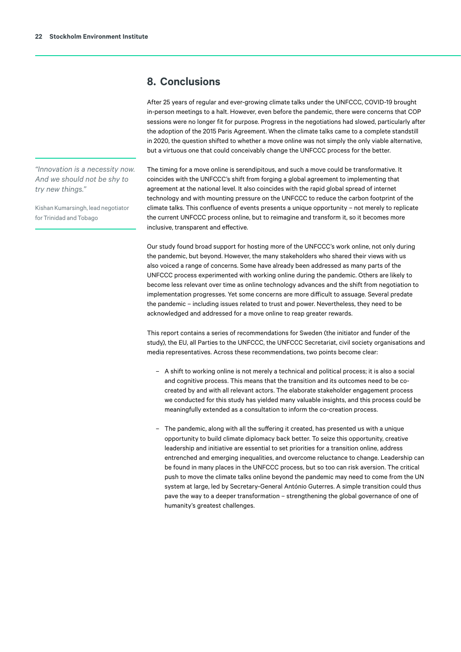# <span id="page-21-0"></span>**8. Conclusions**

After 25 years of regular and ever-growing climate talks under the UNFCCC, COVID-19 brought in-person meetings to a halt. However, even before the pandemic, there were concerns that COP sessions were no longer fit for purpose. Progress in the negotiations had slowed, particularly after the adoption of the 2015 Paris Agreement. When the climate talks came to a complete standstill in 2020, the question shifted to whether a move online was not simply the only viable alternative, but a virtuous one that could conceivably change the UNFCCC process for the better.

The timing for a move online is serendipitous, and such a move could be transformative. It coincides with the UNFCCC's shift from forging a global agreement to implementing that agreement at the national level. It also coincides with the rapid global spread of internet technology and with mounting pressure on the UNFCCC to reduce the carbon footprint of the climate talks. This confluence of events presents a unique opportunity – not merely to replicate the current UNFCCC process online, but to reimagine and transform it, so it becomes more inclusive, transparent and effective.

Our study found broad support for hosting more of the UNFCCC's work online, not only during the pandemic, but beyond. However, the many stakeholders who shared their views with us also voiced a range of concerns. Some have already been addressed as many parts of the UNFCCC process experimented with working online during the pandemic. Others are likely to become less relevant over time as online technology advances and the shift from negotiation to implementation progresses. Yet some concerns are more difficult to assuage. Several predate the pandemic – including issues related to trust and power. Nevertheless, they need to be acknowledged and addressed for a move online to reap greater rewards.

This report contains a series of recommendations for Sweden (the initiator and funder of the study), the EU, all Parties to the UNFCCC, the UNFCCC Secretariat, civil society organisations and media representatives. Across these recommendations, two points become clear:

- A shift to working online is not merely a technical and political process; it is also a social and cognitive process. This means that the transition and its outcomes need to be cocreated by and with all relevant actors. The elaborate stakeholder engagement process we conducted for this study has yielded many valuable insights, and this process could be meaningfully extended as a consultation to inform the co-creation process.
- The pandemic, along with all the suffering it created, has presented us with a unique opportunity to build climate diplomacy back better. To seize this opportunity, creative leadership and initiative are essential to set priorities for a transition online, address entrenched and emerging inequalities, and overcome reluctance to change. Leadership can be found in many places in the UNFCCC process, but so too can risk aversion. The critical push to move the climate talks online beyond the pandemic may need to come from the UN system at large, led by Secretary-General António Guterres. A simple transition could thus pave the way to a deeper transformation – strengthening the global governance of one of humanity's greatest challenges.

*"Innovation is a necessity now. And we should not be shy to try new things."* 

Kishan Kumarsingh, lead negotiator for Trinidad and Tobago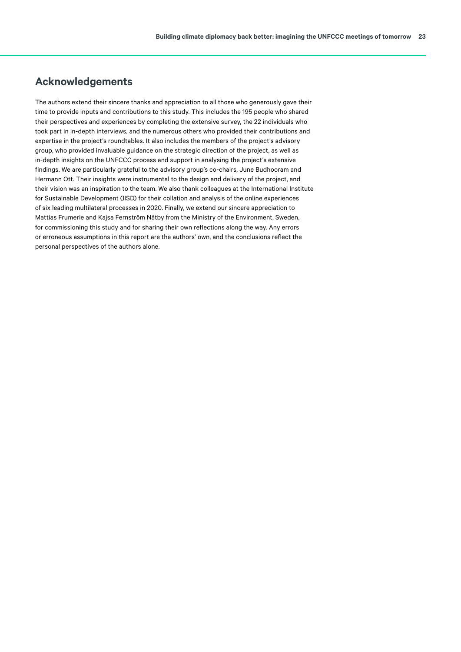# <span id="page-22-0"></span>**Acknowledgements**

The authors extend their sincere thanks and appreciation to all those who generously gave their time to provide inputs and contributions to this study. This includes the 195 people who shared their perspectives and experiences by completing the extensive survey, the 22 individuals who took part in in-depth interviews, and the numerous others who provided their contributions and expertise in the project's roundtables. It also includes the members of the project's advisory group, who provided invaluable guidance on the strategic direction of the project, as well as in-depth insights on the UNFCCC process and support in analysing the project's extensive findings. We are particularly grateful to the advisory group's co-chairs, June Budhooram and Hermann Ott. Their insights were instrumental to the design and delivery of the project, and their vision was an inspiration to the team. We also thank colleagues at the International Institute for Sustainable Development (IISD) for their collation and analysis of the online experiences of six leading multilateral processes in 2020. Finally, we extend our sincere appreciation to Mattias Frumerie and Kajsa Fernström Nåtby from the Ministry of the Environment, Sweden, for commissioning this study and for sharing their own reflections along the way. Any errors or erroneous assumptions in this report are the authors' own, and the conclusions reflect the personal perspectives of the authors alone.